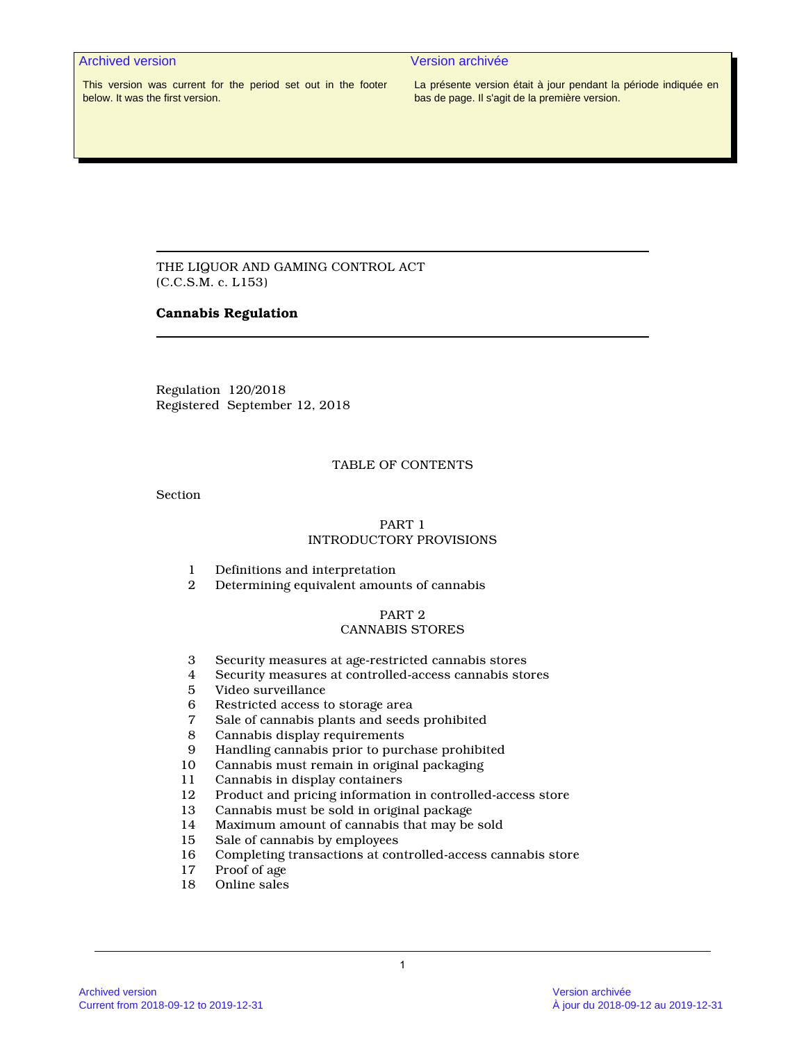# Archived version **Archived version Archived version**

This version was current for the period set out in the footer below. It was the first version.

La présente version était à jour pendant la période indiquée en bas de page. Il s'agit de la première version.

THE LIQUOR AND GAMING CONTROL ACT (C.C.S.M. c. L153)

### **Cannabis Regulation**

Regulation 120/2018 Registered September 12, 2018

### TABLE OF CONTENTS

Section

# PART 1 INTRODUCTORY PROVISIONS

- 1 Definitions and interpretation<br>2 Determining equivalent amoun
- 2 Determining equivalent amounts of cannabis

# PART 2

# CANNABIS STORES

- 3 Security measures at age-restricted cannabis stores
- Security measures at controlled-access cannabis stores
- 5 Video surveillance
- 6 Restricted access to storage area<br>7 Sale of cannabis plants and seeds
- 7 Sale of cannabis plants and seeds prohibited
- 8 Cannabis display requirements<br>9 Handling cannabis prior to pure
- 9 Handling cannabis prior to purchase prohibited
- 10 Cannabis must remain in original packaging
- 11 Cannabis in display containers
- 12 Product and pricing information in controlled-access store
- 13 Cannabis must be sold in original package<br>14 Maximum amount of cannabis that may be
- Maximum amount of cannabis that may be sold
- 15 Sale of cannabis by employees
- 16 Completing transactions at controlled-access cannabis store<br>17 Proof of age
- Proof of age
- 18 Online sales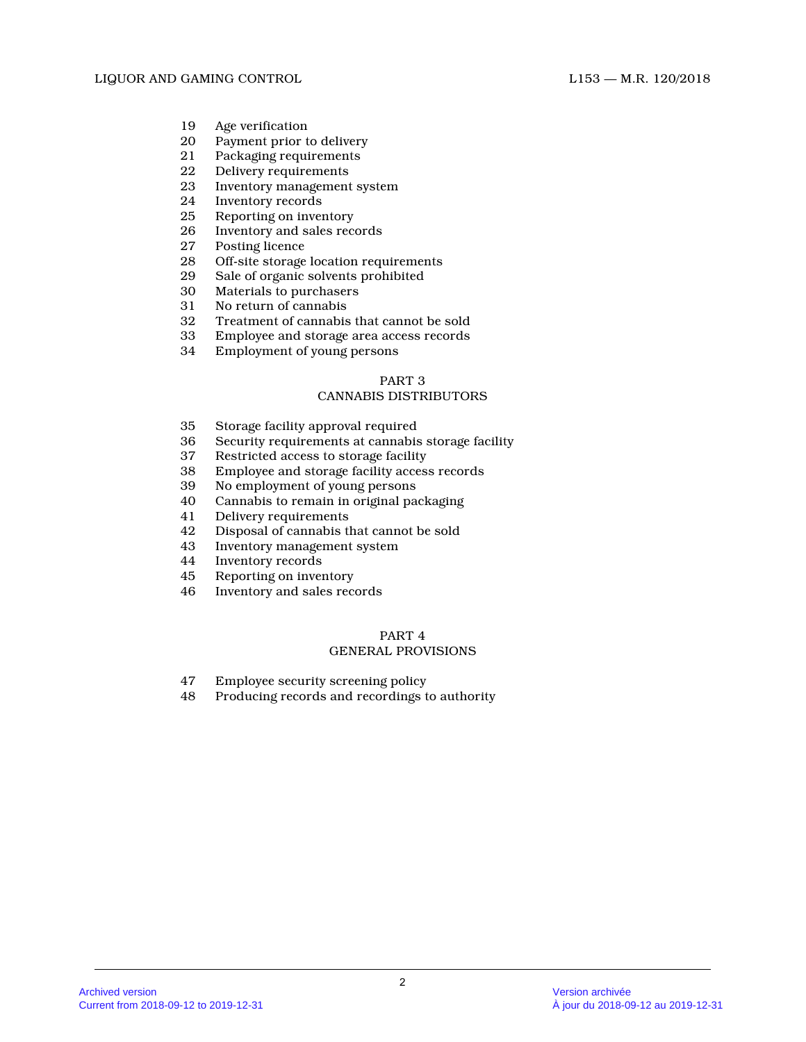- 19 Age verification<br>20 Payment prior to
- Payment prior to delivery
- 21 Packaging requirements
- 22 Delivery requirements<br>23 Inventory management
- Inventory management system
- 24 Inventory records<br>25 Reporting on inver
- 25 Reporting on inventory<br>26 Inventory and sales rec
- Inventory and sales records
- 27 Posting licence<br>28 Off-site storage
- 28 Off-site storage location requirements<br>29 Sale of organic solvents prohibited
- 29 Sale of organic solvents prohibited<br>30 Materials to purchasers
- Materials to purchasers
- 31 No return of cannabis
- 32 Treatment of cannabis that cannot be sold
- 33 Employee and storage area access records
- 34 Employment of young persons

# CANNABIS DISTRIBUTORS

- 35 Storage facility approval required
- 36 Security requirements at cannabis storage facilit y
- 37 Restricted access to storage facility
- 38 Employee and storage facility access records
- 39 No employment of young persons
- 40 Cannabis to remain in original packaging
- Delivery requirements
- 42 Disposal of cannabis that cannot be sold
- 43 Inventory management system<br>44 Inventory records
- Inventory records
- 45 Reporting on inventory
- 46 Inventory and sales records

# PART 4

# GENERAL PROVISIONS

- 47 Employee security screening policy
- 48 Producing records and recordings to authority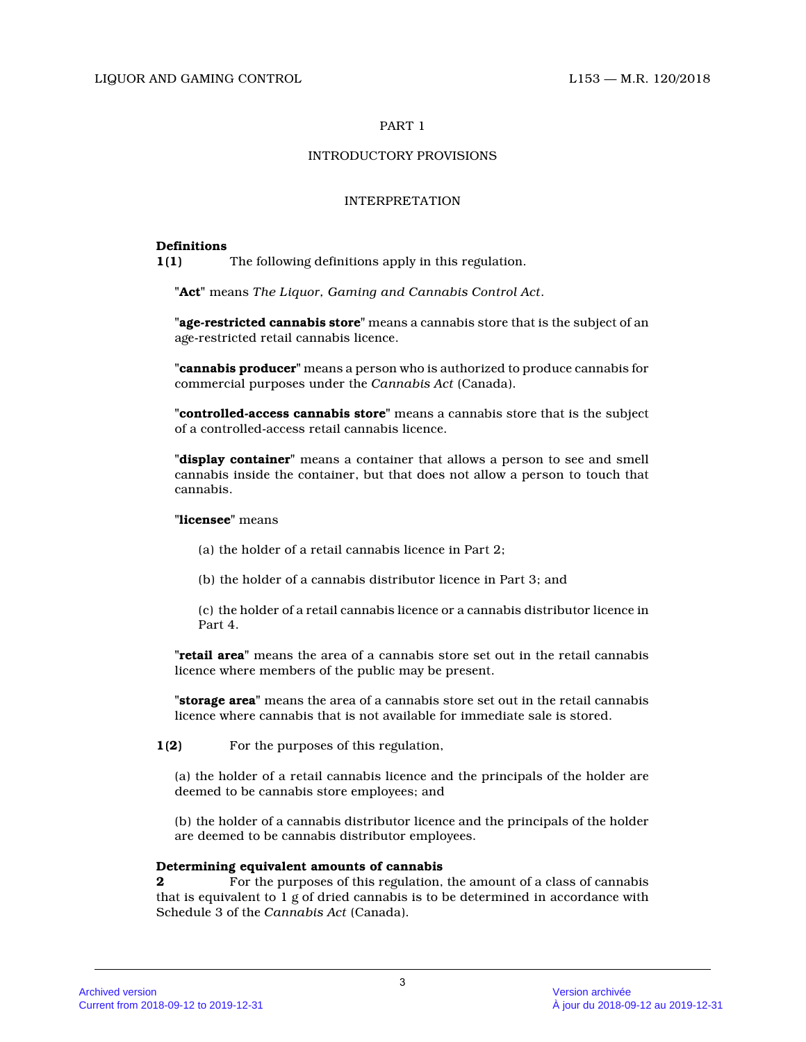# INTRODUCTORY PROVISIONS

# INTERPRETATION

# **Definitions**

**1(1)** The following definitions apply in this regulation.

**"Act"** means *The Liquor, Gaming and Cannabis Control Act* .

**"age-restricted cannabis store"** means a cannabis store that is the subject of an age-restricted retail cannabis licence.

**"cannabis producer"** means a person who is authorized to produce cannabis for commercial purposes under the *Cannabis Act* (Canada).

**"controlled-access cannabis store"** means a cannabis store that is the subject of a controlled-access retail cannabis licence.

**"display container"** means a container that allows a person to see and smell cannabis inside the container, but that does not allow a person to touch that cannabis.

# **"licensee"** means

(a) the holder of a retail cannabis licence in Part 2;

(b) the holder of a cannabis distributor licence in Part 3; and

(c) the holder of a retail cannabis licence or a cannabis distributor licence in Part 4.

**"retail area"** means the area of a cannabis store set out in the retail cannabis licence where members of the public may be present.

**"storage area"** means the area of a cannabis store set out in the retail cannabis licence where cannabis that is not available for immediate sale is stored.

**1(2)** For the purposes of this regulation,

(a) the holder of a retail cannabis licence and the principals of the holder are deemed to be cannabis store employees; and

(b) the holder of a cannabis distributor licence and the principals of the holder are deemed to be cannabis distributor employees.

# **Determining equivalent amounts of cannabis**

**2** For the purposes of this regulation, the amount of a class of cannabis that is equivalent to 1 g of dried cannabis is to be determined in accordance with Schedule 3 of the *Cannabis Act* (Canada).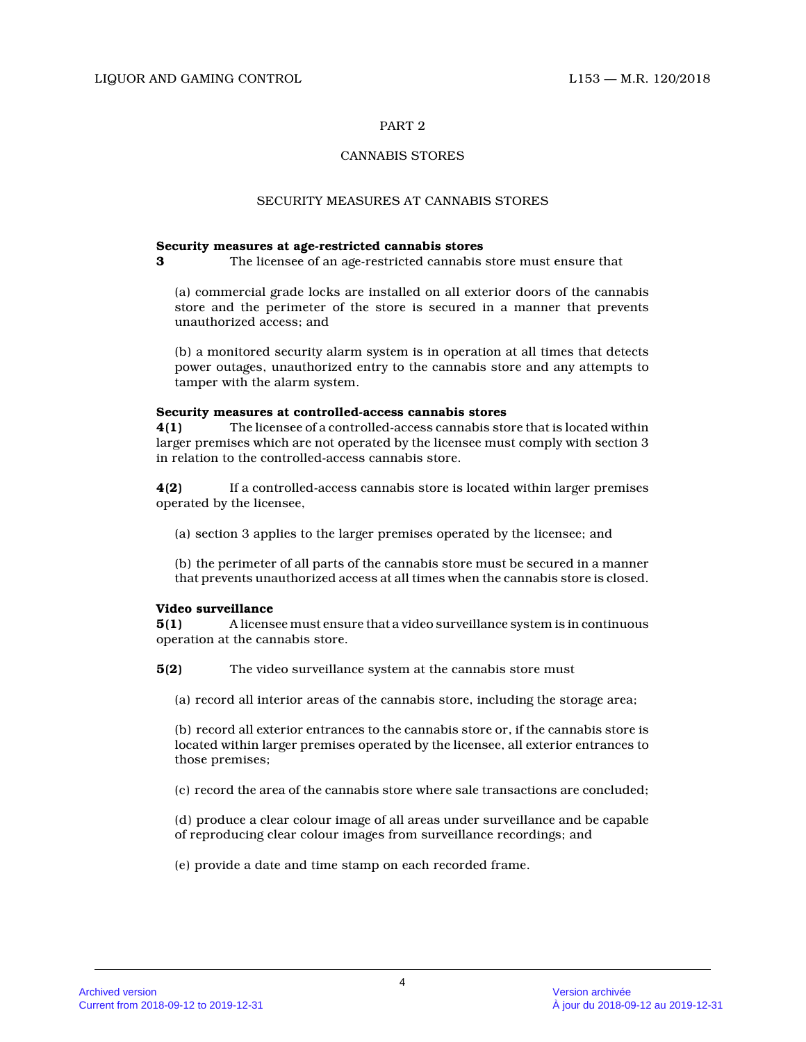# CANNABIS STORES

### SECURITY MEASURES AT CANNABIS STORES

### **Security measures at age-restricted cannabis stores**

**3** The licensee of an age-restricted cannabis store must ensure that

(a) commercial grade locks are installed on all exterior doors of the cannabis store and the perimeter of the store is secured in a manner that prevents unauthorized access; and

(b) a monitored security alarm system is in operation at all times that detects power outages, unauthorized entry to the cannabis store and any attempts to tamper with the alarm system.

### **Security measures at controlled-access cannabis stores**

**4(1)** The licensee of a controlled-access cannabis store that is located within larger premises which are not operated by the licensee must comply with section 3 in relation to the controlled-access cannabis store .

**4(2)** If a controlled-access cannabis store is located within larger premises operated by the licensee,

(a) section 3 applies to the larger premises operated by the licensee; and

(b) the perimeter of all parts of the cannabis store must be secured in a manner that prevents unauthorized access at all times when the cannabis store is closed.

### **Video surveillance**

**5(1)** A licensee must ensure that a video surveillance system is in continuous operation at the cannabis store.

**5(2)** The video surveillance system at the cannabis store must

(a) record all interior areas of the cannabis store, including the storage area;

(b) record all exterior entrances to the cannabis store or, if the cannabis store is located within larger premises operated by the licensee, all exterior entrances to those premises;

(c) record the area of the cannabis store where sale transactions are concluded;

(d) produce a clear colour image of all areas under surveillance and be capable of reproducing clear colour images from surveillance recordings; and

(e) provide a date and time stamp on each recorded frame.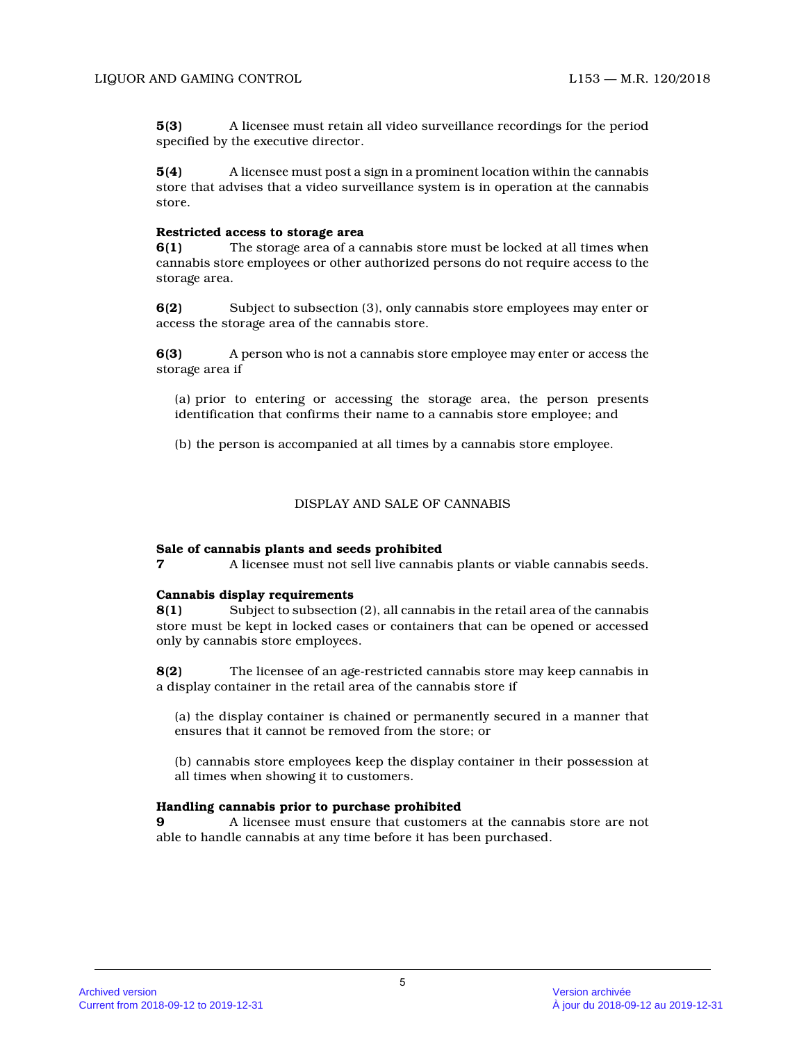**5(3)** A licensee must retain all video surveillance recordings for the period specified by the executive director.

**5(4)** A licensee must post a sign in a prominent location within the cannabis store that advises that a video surveillance system is in operation at the cannabis store.

#### **Restricted access to storage area**

**6(1)** The storage area of a cannabis store must be locked at all times when cannabis store employees or other authorized persons do not require access to the storage area.

**6(2)** Subject to subsection (3), only cannabis store employees may enter or access the storage area of the cannabis store.

**6(3)** A person who is not a cannabis store employee may enter or access the storage area if

(a) prior to entering or accessing the storage area, the person presents identification that confirms their name to a cannabis store employee; and

(b) the person is accompanied at all times by a cannabis store employee.

#### DISPLAY AND SALE OF CANNABIS

#### **Sale of cannabis plants and seeds prohibited**

**7** A licensee must not sell live cannabis plants or viable cannabis seeds.

### **Cannabis display requirements**

**8(1)** Subject to subsection (2), all cannabis in the retail area of the cannabis store must be kept in locked cases or containers that can be opened or accessed only by cannabis store employees.

**8(2)** The licensee of an age-restricted cannabis store may keep cannabis in a display container in the retail area of the cannabis store if

(a) the display container is chained or permanently secured in a manner that ensures that it cannot be removed from the store; o r

(b) cannabis store employees keep the display container in their possession at all times when showing it to customers.

#### **Handling cannabis prior to purchase prohibited**

**9** A licensee must ensure that customers at the cannabis store are not able to handle cannabis at any time before it has been purchased.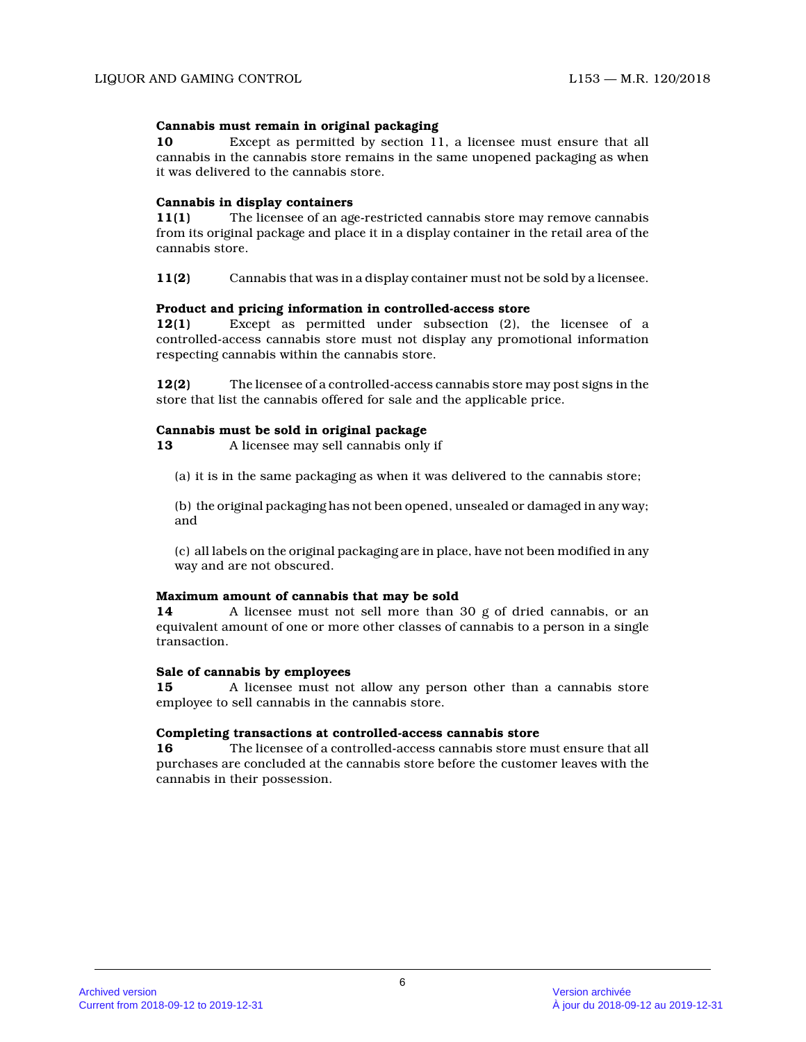# **Cannabis must remain in original packaging**

**10** Except as permitted by section 11, a licensee must ensure that all cannabis in the cannabis store remains in the same unopened packaging as when it was delivered to the cannabis store.

## **Cannabis in display containers**

**11(1)** The licensee of an age-restricted cannabis store may remove cannabis from its original package and place it in a display container in the retail area of the cannabis store.

**11(2)** Cannabis that was in a display container must not be sold by a licensee.

# **Product and pricing information in controlled-access store**

**12(1)** Except as permitted under subsection (2), the licensee of a controlled-access cannabis store must not display any promotional information respecting cannabis within the cannabis store.

**12(2)** The licensee of a controlled-access cannabis store may post signs in the store that list the cannabis offered for sale and the applicable price.

# **Cannabis must be sold in original package**

**13** A licensee may sell cannabis only if

(a) it is in the same packaging as when it was delivered to the cannabis store;

(b) the original packaging has not been opened, unsealed or damaged in any way; and

(c) all labels on the original packaging are in place, have not been modified in any way and are not obscured.

### **Maximum amount of cannabis that may be sold**

**14** A licensee must not sell more than 30 g of dried cannabis, or an equivalent amount of one or more other classes of cannabis to a person in a single transaction.

# **Sale of cannabis by employees**

**15** A licensee must not allow any person other than a cannabis store employee to sell cannabis in the cannabis store.

### **Completing transactions at controlled-access cannabis store**

**16** The licensee of a controlled-access cannabis store must ensure that all purchases are concluded at the cannabis store before the customer leaves with the cannabis in their possession.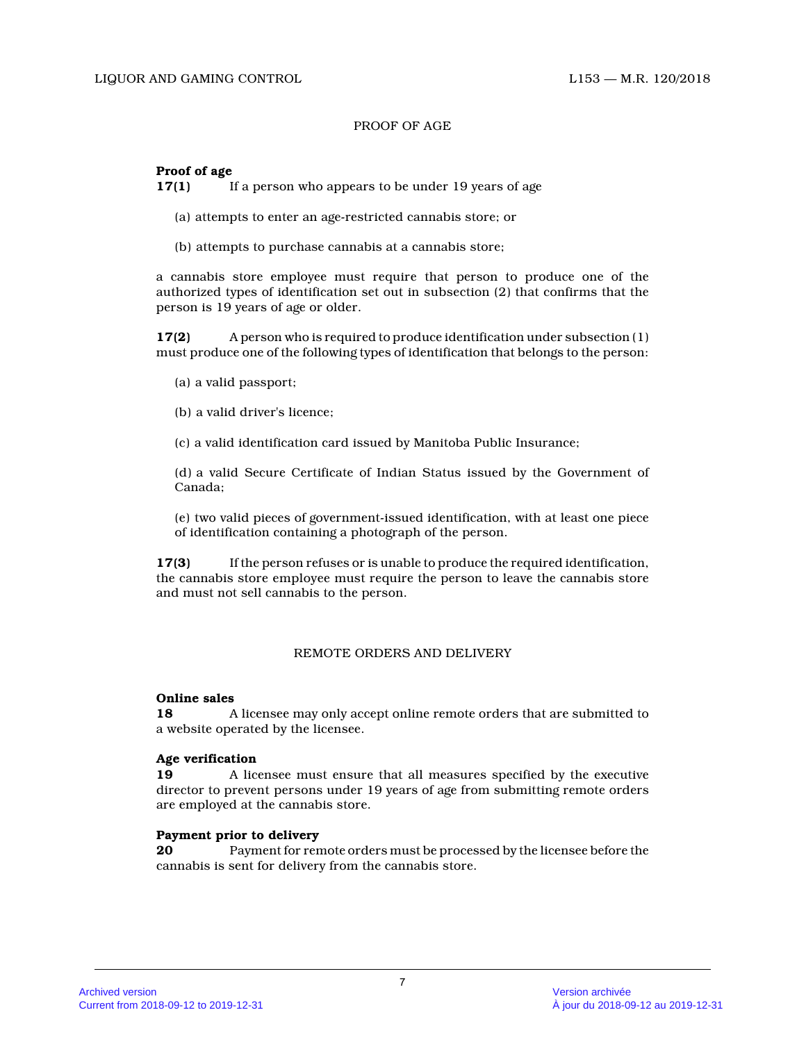# PROOF OF AGE

# **Proof of age**

**17(1)** If a person who appears to be under 19 years of age

- (a) attempts to enter an age-restricted cannabis store; or
- (b) attempts to purchase cannabis at a cannabis store;

a cannabis store employee must require that person to produce one of the authorized types of identification set out in subsection (2) that confirms that the person is 19 years of age or older.

**17(2)** A person who is required to produce identification under subsection (1) must produce one of the following types of identification that belongs to the person:

- (a) a valid passport;
- (b) a valid driver's licence;
- (c) a valid identification card issued by Manitoba Public Insurance;

(d) a valid Secure Certificate of Indian Status issued by the Government of Canada;

(e) two valid pieces of government-issued identification, with at least one piece of identification containing a photograph of the person.

**17(3)** If the person refuses or is unable to produce the required identification, the cannabis store employee must require the person to leave the cannabis store and must not sell cannabis to the person.

## REMOTE ORDERS AND DELIVERY

### **Online sales**

**18** A licensee may only accept online remote orders that are submitted to a website operated by the licensee.

### **Age verification**

**19** A licensee must ensure that all measures specified by the executive director to prevent persons under 19 years of age from submitting remote orders are employed at the cannabis store.

#### **Payment prior to delivery**

**20** Payment for remote orders must be processed by the licensee before the cannabis is sent for delivery from the cannabis store.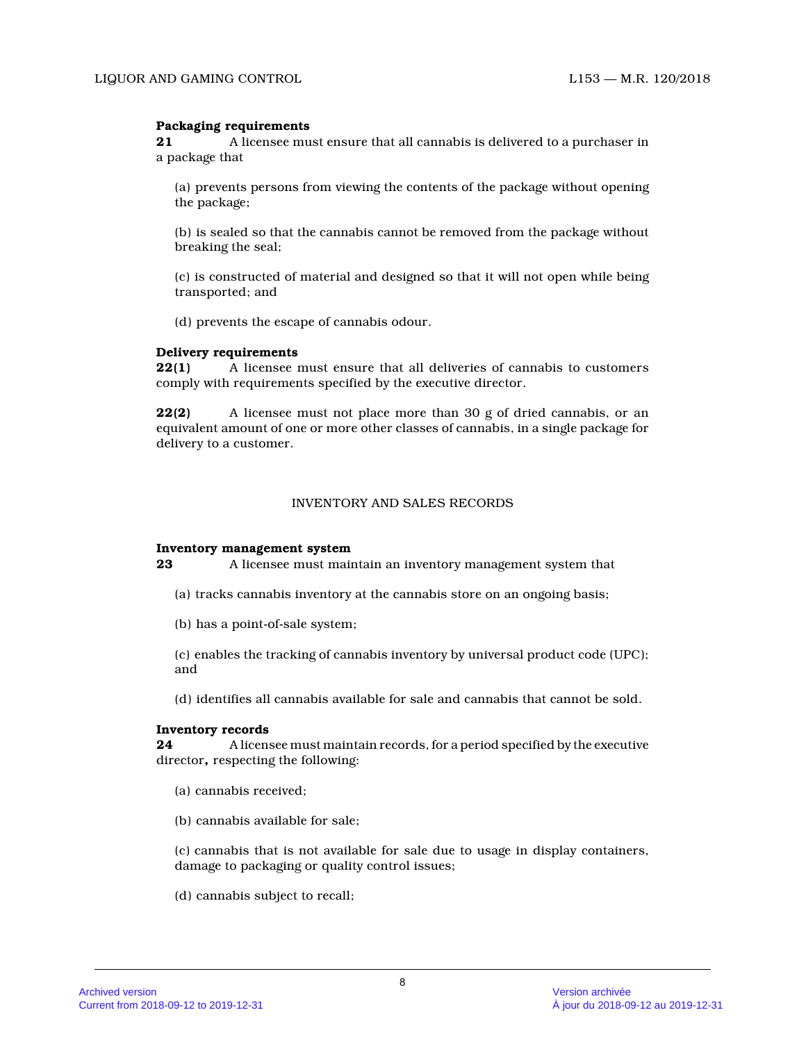# **Packaging requirements**

**21** A licensee must ensure that all cannabis is delivered to a purchaser in a package that

(a) prevents persons from viewing the contents of the package without opening the package;

(b) is sealed so that the cannabis cannot be removed from the package without breaking the seal;

(c) is constructed of material and designed so that it will not open while being transported; and

(d) prevents the escape of cannabis odour.

### **Delivery requirements**

**22(1)** A licensee must ensure that all deliveries of cannabis to customers comply with requirements specified by the executive director.

**22(2)** A licensee must not place more than 30 g of dried cannabis, or an equivalent amount of one or more other classes of cannabis, in a single package for delivery to a customer.

### INVENTORY AND SALES RECORDS

### **Inventory management system**

**23** A licensee must maintain an inventory management system that

- (a) tracks cannabis inventory at the cannabis store on an ongoing basis;
- (b) has a point-of-sale system;

(c) enables the tracking of cannabis inventory by universal product code (UPC); and

(d) identifies all cannabis available for sale and cannabis that cannot be sold.

## **Inventory records**

**24** A licensee must maintain records, for a period specified by the executive director**,** respecting the following:

- (a) cannabis received;
- (b) cannabis available for sale;

(c) cannabis that is not available for sale due to usage in display containers, damage to packaging or quality control issues;

(d) cannabis subject to recall;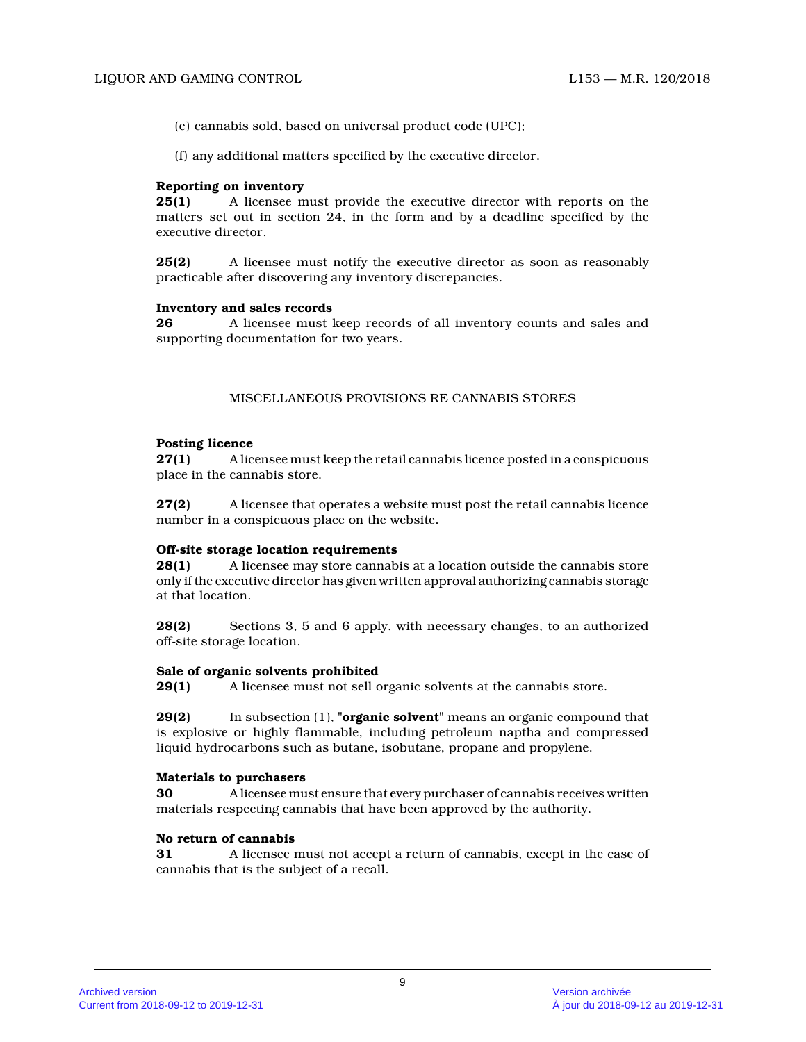(e) cannabis sold, based on universal product code (UPC);

(f) any additional matters specified by the executive director.

#### **Reporting on inventory**

**25(1)** A licensee must provide the executive director with reports on the matters set out in section 24, in the form and by a deadline specified by the executive director.

**25(2)** A licensee must notify the executive director as soon as reasonably practicable after discovering any inventory discrepancies.

#### **Inventory and sales records**

**26** A licensee must keep records of all inventory counts and sales and supporting documentation for two years.

# MISCELLANEOUS PROVISIONS RE CANNABIS STORES

#### **Posting licence**

**27(1)** A licensee must keep the retail cannabis licence posted in a conspicuous place in the cannabis store.

**27(2)** A licensee that operates a website must post the retail cannabis licence number in a conspicuous place on the website.

#### **Off-site storage location requirements**

**28(1)** A licensee may store cannabis at a location outside the cannabis store only if the executive director has given written approval authorizing cannabis storage at that location.

**28(2)** Sections 3, 5 and 6 apply, with necessary changes, to an authorized off-site storage location.

### **Sale of organic solvents prohibited**

**29(1)** A licensee must not sell organic solvents at the cannabis store.

**29(2)** In subsection (1), **"organic solvent"** means an organic compound that is explosive or highly flammable, including petroleum naptha and compressed liquid hydrocarbons such as butane, isobutane, propane and propylene.

## **Materials to purchasers**

**30** A licensee must ensure that every purchaser of cannabis receives written materials respecting cannabis that have been approved by the authority.

### **No return of cannabis**

**31** A licensee must not accept a return of cannabis, except in the case of cannabis that is the subject of a recall.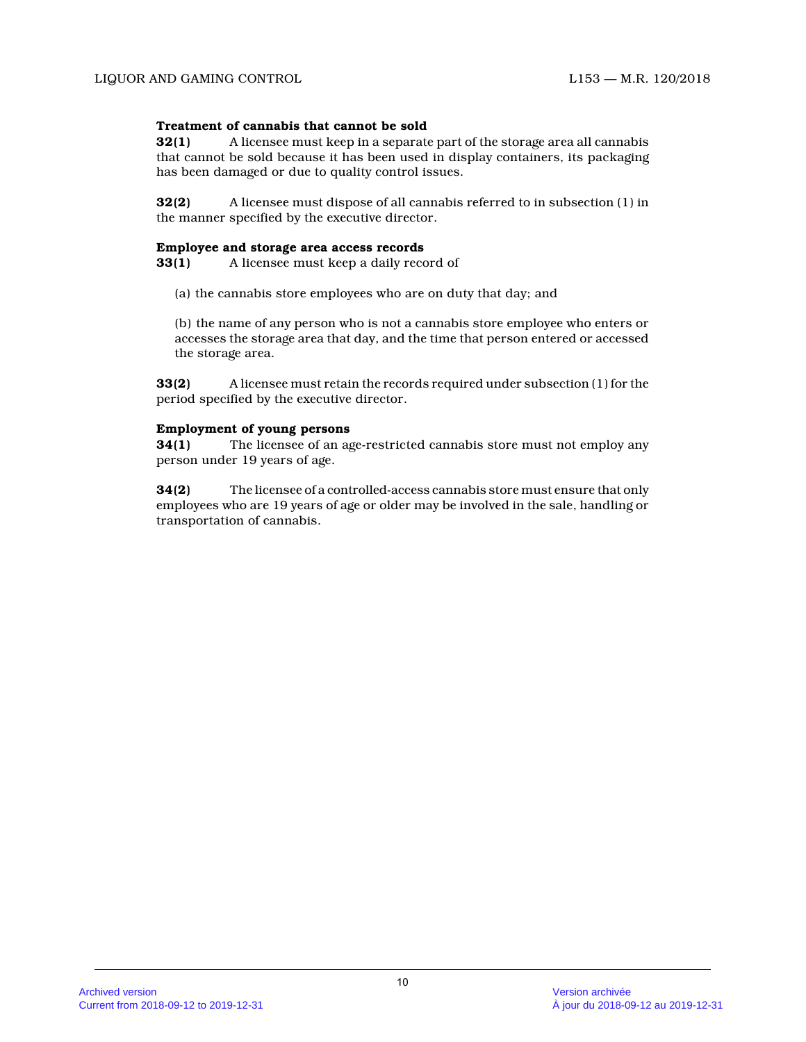# **Treatment of cannabis that cannot be sold**

**32(1)** A licensee must keep in a separate part of the storage area all cannabis that cannot be sold because it has been used in display containers, its packaging has been damaged or due to quality control issues.

**32(2)** A licensee must dispose of all cannabis referred to in subsection (1) in the manner specified by the executive director.

#### **Employee and storage area access records**

**33(1)** A licensee must keep a daily record of

(a) the cannabis store employees who are on duty that day; and

(b) the name of any person who is not a cannabis store employee who enters or accesses the storage area that day, and the time that person entered or accessed the storage area.

**33(2)** A licensee must retain the records required under subsection (1) for the period specified by the executive director.

### **Employment of young persons**

**34(1)** The licensee of an age-restricted cannabis store must not employ any person under 19 years of age.

**34(2)** The licensee of a controlled-access cannabis store must ensure that only employees who are 19 years of age or older may be involved in the sale, handling or transportation of cannabis.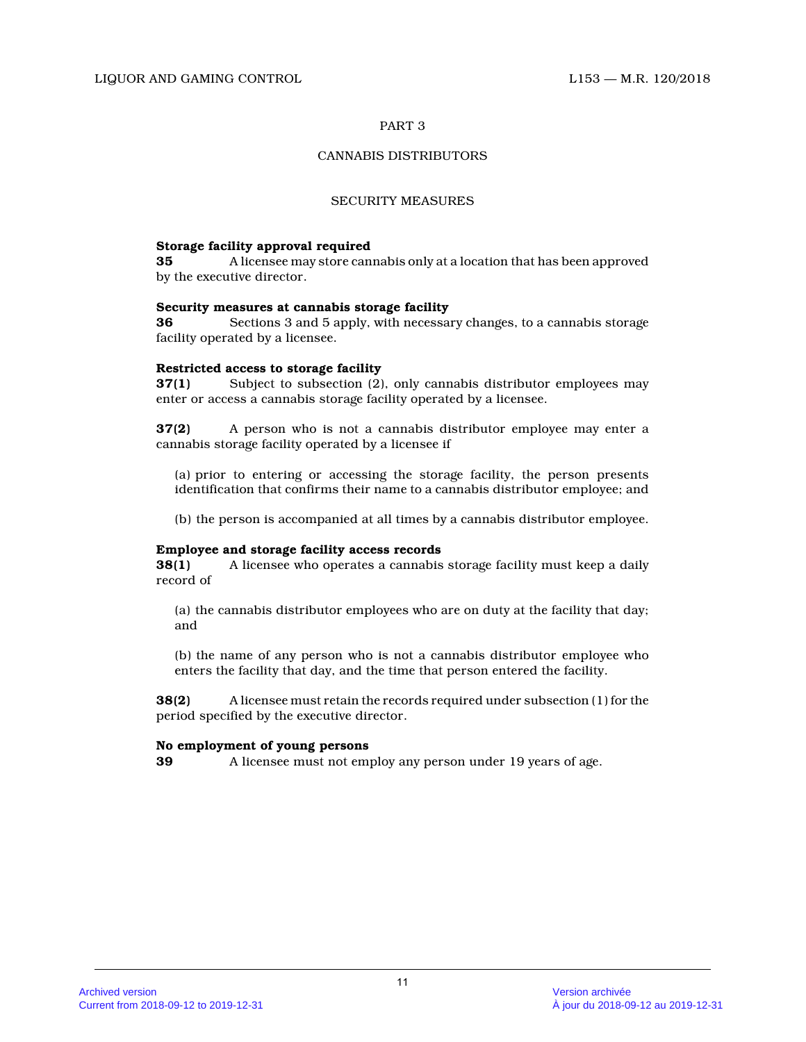# CANNABIS DISTRIBUTORS

#### SECURITY MEASURES

#### **Storage facility approval required**

**35** A licensee may store cannabis only at a location that has been approved by the executive director.

#### **Security measures at cannabis storage facility**

**36** Sections 3 and 5 apply, with necessary changes, to a cannabis storage facility operated by a licensee.

# **Restricted access to storage facility**

**37(1)** Subject to subsection (2), only cannabis distributor employees may enter or access a cannabis storage facility operated by a licensee.

**37(2)** A person who is not a cannabis distributor employee may enter a cannabis storage facility operated by a licensee if

(a) prior to entering or accessing the storage facility, the person presents identification that confirms their name to a cannabis distributor employee; and

(b) the person is accompanied at all times by a cannabis distributor employee.

## **Employee and storage facility access records**

**38(1)** A licensee who operates a cannabis storage facility must keep a daily record of

(a) the cannabis distributor employees who are on duty at the facility that day; and

(b) the name of any person who is not a cannabis distributor employee who enters the facility that day, and the time that person entered the facility.

**38(2)** A licensee must retain the records required under subsection (1) for the period specified by the executive director.

### **No employment of young persons**

**39** A licensee must not employ any person under 19 years of age.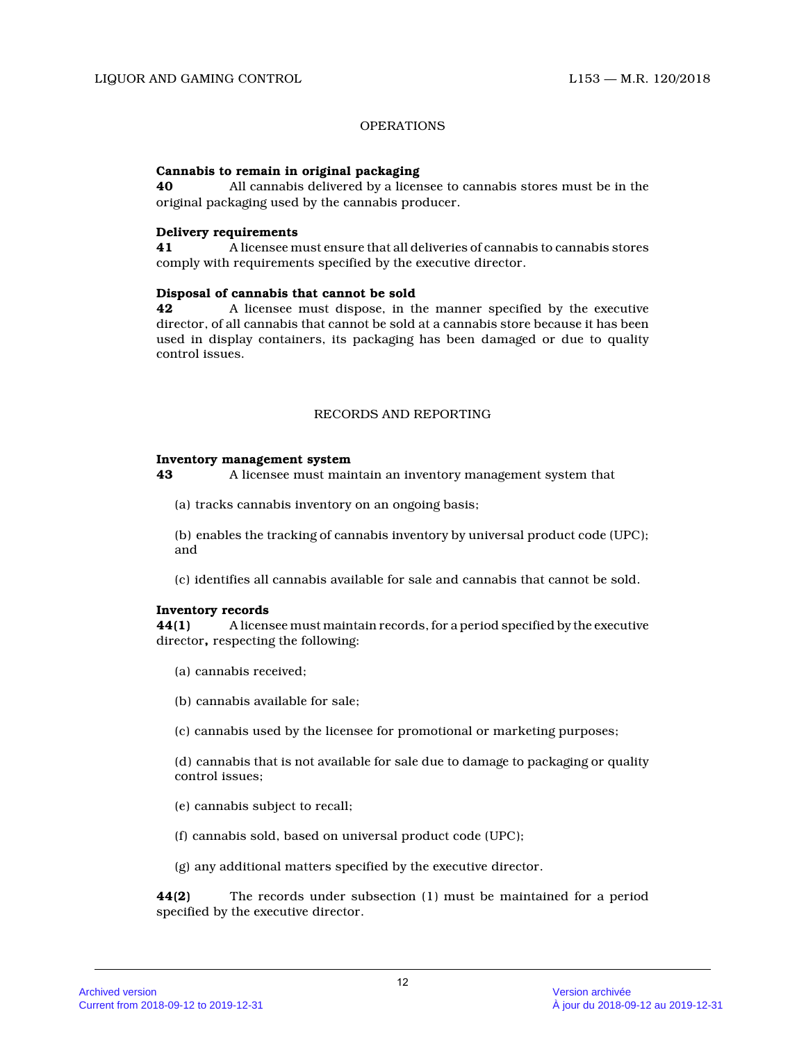# OPERATIONS

## **Cannabis to remain in original packaging**

**40** All cannabis delivered by a licensee to cannabis stores must be in the original packaging used by the cannabis producer.

# **Delivery requirements**

**41** A licensee must ensure that all deliveries of cannabis to cannabis stores comply with requirements specified by the executive director.

### **Disposal of cannabis that cannot be sold**

**42** A licensee must dispose, in the manner specified by the executive director, of all cannabis that cannot be sold at a cannabis store because it has been used in display containers, its packaging has been damaged or due to quality control issues.

# RECORDS AND REPORTING

### **Inventory management system**

**43** A licensee must maintain an inventory management system that

(a) tracks cannabis inventory on an ongoing basis;

(b) enables the tracking of cannabis inventory by universal product code (UPC); and

(c) identifies all cannabis available for sale and cannabis that cannot be sold.

### **Inventory records**

**44(1)** A licensee must maintain records, for a period specified by the executive director**,** respecting the following:

- (a) cannabis received;
- (b) cannabis available for sale;
- (c) cannabis used by the licensee for promotional or marketing purposes;

(d) cannabis that is not available for sale due to damage to packaging or quality control issues;

- (e) cannabis subject to recall;
- (f) cannabis sold, based on universal product code (UPC);
- (g) any additional matters specified by the executive director.

**44(2)** The records under subsection (1) must be maintained for a period specified by the executive director.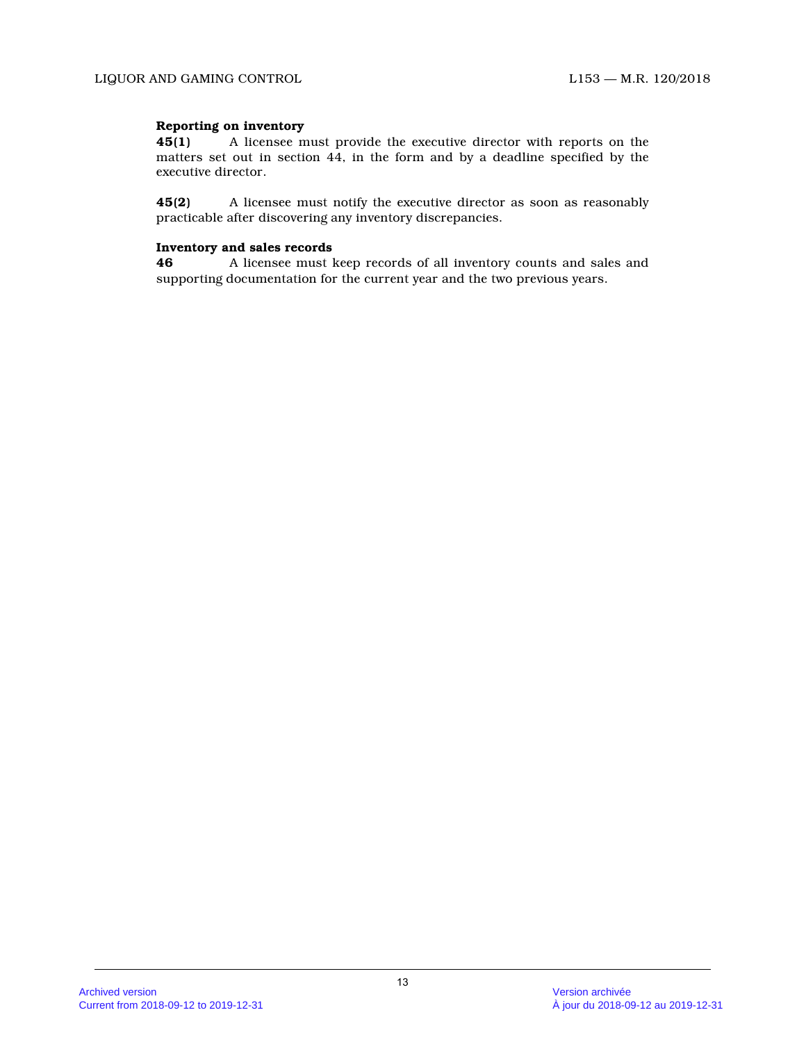# **Reporting on inventory**

**45(1)** A licensee must provide the executive director with reports on the matters set out in section 44, in the form and by a deadline specified by the executive director.

**45(2)** A licensee must notify the executive director as soon as reasonably practicable after discovering any inventory discrepancies.

# **Inventory and sales records**

**46** A licensee must keep records of all inventory counts and sales and supporting documentation for the current year and the two previous years.